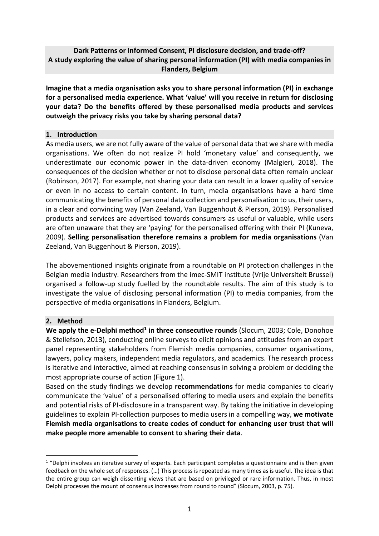# **Dark Patterns or Informed Consent, PI disclosure decision, and trade-off? A study exploring the value of sharing personal information (PI) with media companies in Flanders, Belgium**

**Imagine that a media organisation asks you to share personal information (PI) in exchange for a personalised media experience. What 'value' will you receive in return for disclosing your data? Do the benefits offered by these personalised media products and services outweigh the privacy risks you take by sharing personal data?**

### **1. Introduction**

As media users, we are not fully aware of the value of personal data that we share with media organisations. We often do not realize PI hold 'monetary value' and consequently, we underestimate our economic power in the data-driven economy (Malgieri, 2018). The consequences of the decision whether or not to disclose personal data often remain unclear (Robinson, 2017). For example, not sharing your data can result in a lower quality of service or even in no access to certain content. In turn, media organisations have a hard time communicating the benefits of personal data collection and personalisation to us, their users, in a clear and convincing way (Van Zeeland, Van Buggenhout & Pierson, 2019). Personalised products and services are advertised towards consumers as useful or valuable, while users are often unaware that they are 'paying' for the personalised offering with their PI (Kuneva, 2009). **Selling personalisation therefore remains a problem for media organisations** (Van Zeeland, Van Buggenhout & Pierson, 2019).

The abovementioned insights originate from a roundtable on PI protection challenges in the Belgian media industry. Researchers from the imec-SMIT institute (Vrije Universiteit Brussel) organised a follow-up study fuelled by the roundtable results. The aim of this study is to investigate the value of disclosing personal information (PI) to media companies, from the perspective of media organisations in Flanders, Belgium.

#### **2. Method**

We apply the e-Delphi method<sup>1</sup> in three consecutive rounds (Slocum, 2003; Cole, Donohoe & Stellefson, 2013), conducting online surveys to elicit opinions and attitudes from an expert panel representing stakeholders from Flemish media companies, consumer organisations, lawyers, policy makers, independent media regulators, and academics. The research process is iterative and interactive, aimed at reaching consensus in solving a problem or deciding the most appropriate course of action (Figure 1).

Based on the study findings we develop **recommendations** for media companies to clearly communicate the 'value' of a personalised offering to media users and explain the benefits and potential risks of PI-disclosure in a transparent way. By taking the initiative in developing guidelines to explain PI-collection purposes to media users in a compelling way, **we motivate Flemish media organisations to create codes of conduct for enhancing user trust that will make people more amenable to consent to sharing their data**.

 $1$  "Delphi involves an iterative survey of experts. Each participant completes a questionnaire and is then given feedback on the whole set of responses. (…) This process is repeated as many times as is useful. The idea is that the entire group can weigh dissenting views that are based on privileged or rare information. Thus, in most Delphi processes the mount of consensus increases from round to round" (Slocum, 2003, p. 75).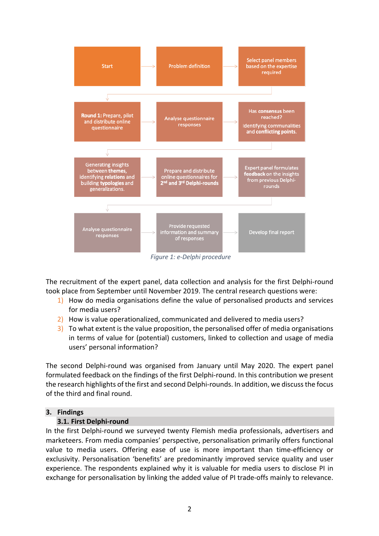

The recruitment of the expert panel, data collection and analysis for the first Delphi-round took place from September until November 2019. The central research questions were:

- 1) How do media organisations define the value of personalised products and services for media users?
- 2) How is value operationalized, communicated and delivered to media users?
- 3) To what extent is the value proposition, the personalised offer of media organisations in terms of value for (potential) customers, linked to collection and usage of media users' personal information?

The second Delphi-round was organised from January until May 2020. The expert panel formulated feedback on the findings of the first Delphi-round. In this contribution we present the research highlights of the first and second Delphi-rounds. In addition, we discuss the focus of the third and final round.

#### **3. Findings**

#### **3.1. First Delphi-round**

In the first Delphi-round we surveyed twenty Flemish media professionals, advertisers and marketeers. From media companies' perspective, personalisation primarily offers functional value to media users. Offering ease of use is more important than time-efficiency or exclusivity. Personalisation 'benefits' are predominantly improved service quality and user experience. The respondents explained why it is valuable for media users to disclose PI in exchange for personalisation by linking the added value of PI trade-offs mainly to relevance.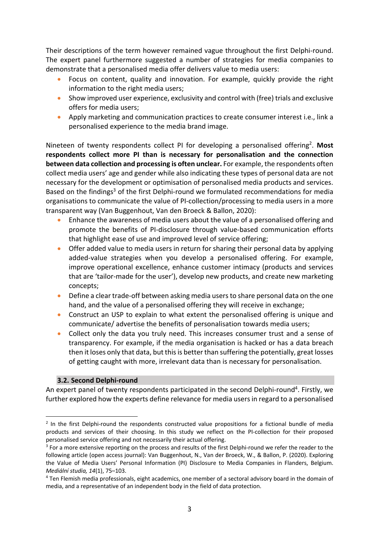Their descriptions of the term however remained vague throughout the first Delphi-round. The expert panel furthermore suggested a number of strategies for media companies to demonstrate that a personalised media offer delivers value to media users:

- Focus on content, quality and innovation. For example, quickly provide the right information to the right media users;
- Show improved user experience, exclusivity and control with (free) trials and exclusive offers for media users;
- Apply marketing and communication practices to create consumer interest i.e., link a personalised experience to the media brand image.

Nineteen of twenty respondents collect PI for developing a personalised offering2. **Most respondents collect more PI than is necessary for personalisation and the connection between data collection and processing is often unclear.** For example, the respondents often collect media users' age and gender while also indicating these types of personal data are not necessary for the development or optimisation of personalised media products and services. Based on the findings<sup>3</sup> of the first Delphi-round we formulated recommendations for media organisations to communicate the value of PI-collection/processing to media users in a more transparent way (Van Buggenhout, Van den Broeck & Ballon, 2020):

- Enhance the awareness of media users about the value of a personalised offering and promote the benefits of PI-disclosure through value-based communication efforts that highlight ease of use and improved level of service offering;
- Offer added value to media users in return for sharing their personal data by applying added-value strategies when you develop a personalised offering. For example, improve operational excellence, enhance customer intimacy (products and services that are 'tailor-made for the user'), develop new products, and create new marketing concepts;
- Define a clear trade-off between asking media users to share personal data on the one hand, and the value of a personalised offering they will receive in exchange;
- Construct an USP to explain to what extent the personalised offering is unique and communicate/ advertise the benefits of personalisation towards media users;
- Collect only the data you truly need. This increases consumer trust and a sense of transparency. For example, if the media organisation is hacked or has a data breach then it loses only that data, but this is better than suffering the potentially, great losses of getting caught with more, irrelevant data than is necessary for personalisation.

## **3.2. Second Delphi-round**

An expert panel of twenty respondents participated in the second Delphi-round<sup>4</sup>. Firstly, we further explored how the experts define relevance for media users in regard to a personalised

<sup>&</sup>lt;sup>2</sup> In the first Delphi-round the respondents constructed value propositions for a fictional bundle of media products and services of their choosing. In this study we reflect on the PI-collection for their proposed personalised service offering and not necessarily their actual offering.

<sup>&</sup>lt;sup>3</sup> For a more extensive reporting on the process and results of the first Delphi-round we refer the reader to the following article (open access journal): Van Buggenhout, N., Van der Broeck, W., & Ballon, P. (2020). Exploring the Value of Media Users' Personal Information (PI) Disclosure to Media Companies in Flanders, Belgium. *Mediální studia, 14*(1), 75–103.

<sup>4</sup> Ten Flemish media professionals, eight academics, one member of a sectoral advisory board in the domain of media, and a representative of an independent body in the field of data protection.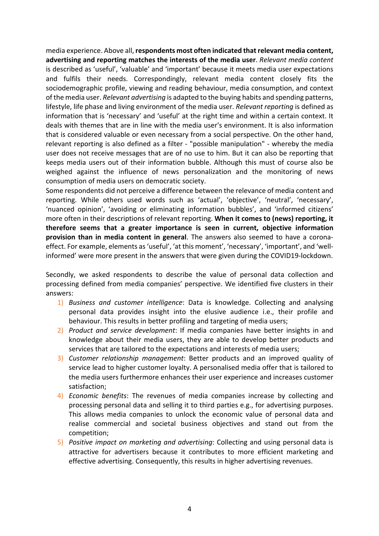media experience. Above all, **respondents most often indicated that relevant media content, advertising and reporting matches the interests of the media user**. *Relevant media content* is described as 'useful', 'valuable' and 'important' because it meets media user expectations and fulfils their needs. Correspondingly, relevant media content closely fits the sociodemographic profile, viewing and reading behaviour, media consumption, and context of the media user. *Relevant advertising* is adapted to the buying habits and spending patterns, lifestyle, life phase and living environment of the media user. *Relevant reporting* is defined as information that is 'necessary' and 'useful' at the right time and within a certain context. It deals with themes that are in line with the media user's environment. It is also information that is considered valuable or even necessary from a social perspective. On the other hand, relevant reporting is also defined as a filter - "possible manipulation" - whereby the media user does not receive messages that are of no use to him. But it can also be reporting that keeps media users out of their information bubble. Although this must of course also be weighed against the influence of news personalization and the monitoring of news consumption of media users on democratic society.

Some respondents did not perceive a difference between the relevance of media content and reporting. While others used words such as 'actual', 'objective', 'neutral', 'necessary', 'nuanced opinion', 'avoiding or eliminating information bubbles', and 'informed citizens' more often in their descriptions of relevant reporting. **When it comes to (news) reporting, it therefore seems that a greater importance is seen in current, objective information provision than in media content in general**. The answers also seemed to have a coronaeffect. For example, elements as 'useful', 'at this moment', 'necessary', 'important', and 'wellinformed' were more present in the answers that were given during the COVID19-lockdown.

Secondly, we asked respondents to describe the value of personal data collection and processing defined from media companies' perspective. We identified five clusters in their answers:

- 1) *Business and customer intelligence*: Data is knowledge. Collecting and analysing personal data provides insight into the elusive audience i.e., their profile and behaviour. This results in better profiling and targeting of media users;
- 2) *Product and service development*: If media companies have better insights in and knowledge about their media users, they are able to develop better products and services that are tailored to the expectations and interests of media users;
- 3) *Customer relationship management*: Better products and an improved quality of service lead to higher customer loyalty. A personalised media offer that is tailored to the media users furthermore enhances their user experience and increases customer satisfaction;
- 4) *Economic benefits*: The revenues of media companies increase by collecting and processing personal data and selling it to third parties e.g., for advertising purposes. This allows media companies to unlock the economic value of personal data and realise commercial and societal business objectives and stand out from the competition;
- 5) *Positive impact on marketing and advertising*: Collecting and using personal data is attractive for advertisers because it contributes to more efficient marketing and effective advertising. Consequently, this results in higher advertising revenues.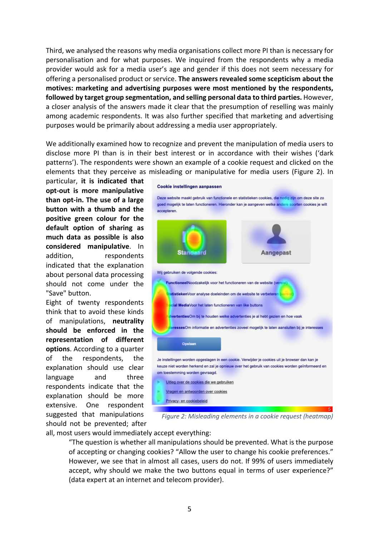Third, we analysed the reasons why media organisations collect more PI than is necessary for personalisation and for what purposes. We inquired from the respondents why a media provider would ask for a media user's age and gender if this does not seem necessary for offering a personalised product or service. **The answers revealed some scepticism about the motives: marketing and advertising purposes were most mentioned by the respondents, followed by target group segmentation, and selling personal data to third parties.** However, a closer analysis of the answers made it clear that the presumption of reselling was mainly among academic respondents. It was also further specified that marketing and advertising purposes would be primarily about addressing a media user appropriately.

We additionally examined how to recognize and prevent the manipulation of media users to disclose more PI than is in their best interest or in accordance with their wishes ('dark patterns'). The respondents were shown an example of a cookie request and clicked on the elements that they perceive as misleading or manipulative for media users (Figure 2). In

particular, **it is indicated that opt-out is more manipulative than opt-in. The use of a large button with a thumb and the positive green colour for the default option of sharing as much data as possible is also considered manipulative**. In addition. respondents indicated that the explanation about personal data processing should not come under the "Save" button.

Eight of twenty respondents think that to avoid these kinds of manipulations, **neutrality should be enforced in the representation of different options**. According to a quarter of the respondents, the explanation should use clear language and three respondents indicate that the explanation should be more extensive. One respondent suggested that manipulations should not be prevented; after



*Figure 2: Misleading elements in a cookie request (heatmap)*

all, most users would immediately accept everything:

"The question is whether all manipulations should be prevented. What is the purpose of accepting or changing cookies? "Allow the user to change his cookie preferences." However, we see that in almost all cases, users do not. If 99% of users immediately accept, why should we make the two buttons equal in terms of user experience?" (data expert at an internet and telecom provider).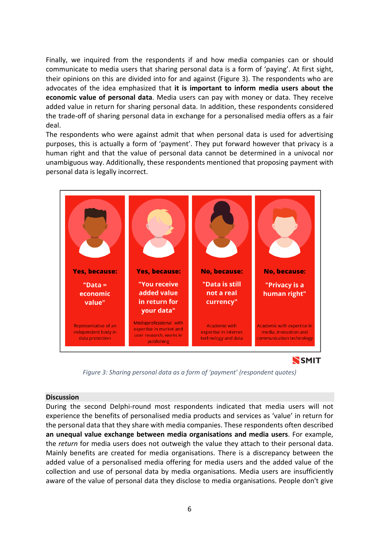Finally, we inquired from the respondents if and how media companies can or should communicate to media users that sharing personal data is a form of 'paying'. At first sight, their opinions on this are divided into for and against (Figure 3). The respondents who are advocates of the idea emphasized that **it is important to inform media users about the economic value of personal data**. Media users can pay with money or data. They receive added value in return for sharing personal data. In addition, these respondents considered the trade-off of sharing personal data in exchange for a personalised media offers as a fair deal.

The respondents who were against admit that when personal data is used for advertising purposes, this is actually a form of 'payment'. They put forward however that privacy is a human right and that the value of personal data cannot be determined in a univocal nor unambiguous way. Additionally, these respondents mentioned that proposing payment with personal data is legally incorrect.



*Figure 3: Sharing personal data as a form of 'payment' (respondent quotes)*

#### **Discussion**

During the second Delphi-round most respondents indicated that media users will not experience the benefits of personalised media products and services as 'value' in return for the personal data that they share with media companies. These respondents often described **an unequal value exchange between media organisations and media users**. For example, the *return* for media users does not outweigh the value they attach to their personal data. Mainly benefits are created for media organisations. There is a discrepancy between the added value of a personalised media offering for media users and the added value of the collection and use of personal data by media organisations. Media users are insufficiently aware of the value of personal data they disclose to media organisations. People don't give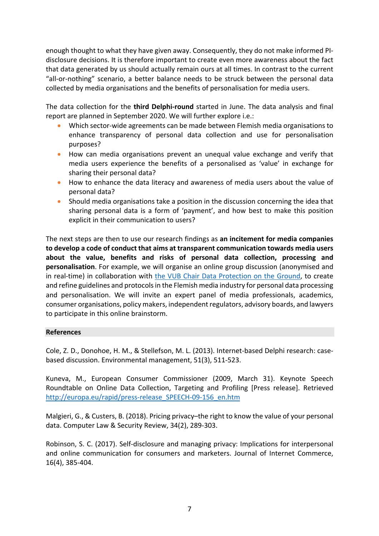enough thought to what they have given away. Consequently, they do not make informed PIdisclosure decisions. It is therefore important to create even more awareness about the fact that data generated by us should actually remain ours at all times. In contrast to the current "all-or-nothing" scenario, a better balance needs to be struck between the personal data collected by media organisations and the benefits of personalisation for media users.

The data collection for the **third Delphi-round** started in June. The data analysis and final report are planned in September 2020. We will further explore i.e.:

- Which sector-wide agreements can be made between Flemish media organisations to enhance transparency of personal data collection and use for personalisation purposes?
- How can media organisations prevent an unequal value exchange and verify that media users experience the benefits of a personalised as 'value' in exchange for sharing their personal data?
- How to enhance the data literacy and awareness of media users about the value of personal data?
- Should media organisations take a position in the discussion concerning the idea that sharing personal data is a form of 'payment', and how best to make this position explicit in their communication to users?

The next steps are then to use our research findings as **an incitement for media companies to develop a code of conduct that aims at transparent communication towards media users about the value, benefits and risks of personal data collection, processing and personalisation**. For example, we will organise an online group discussion (anonymised and in real-time) in collaboration with the VUB Chair Data Protection on the Ground, to create and refine guidelines and protocols in the Flemish media industry for personal data processing and personalisation. We will invite an expert panel of media professionals, academics, consumer organisations, policy makers, independent regulators, advisory boards, and lawyers to participate in this online brainstorm.

#### **References**

Cole, Z. D., Donohoe, H. M., & Stellefson, M. L. (2013). Internet-based Delphi research: casebased discussion. Environmental management, 51(3), 511-523.

Kuneva, M., European Consumer Commissioner (2009, March 31). Keynote Speech Roundtable on Online Data Collection, Targeting and Profiling [Press release]. Retrieved http://europa.eu/rapid/press-release\_SPEECH-09-156\_en.htm

Malgieri, G., & Custers, B. (2018). Pricing privacy–the right to know the value of your personal data. Computer Law & Security Review, 34(2), 289-303.

Robinson, S. C. (2017). Self-disclosure and managing privacy: Implications for interpersonal and online communication for consumers and marketers. Journal of Internet Commerce, 16(4), 385-404.